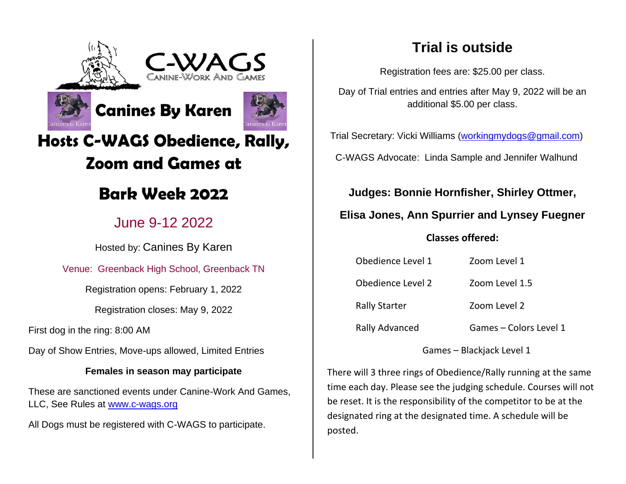





# **Hosts C-WAGS Obedience, Rally, Zoom and Games at**

# **Bark Week 2022**

## June 9-12 2022

Hosted by: Canines By Karen

## Venue: Greenback High School, Greenback TN

Registration opens: February 1, 2022

Registration closes: May 9, 2022

First dog in the ring: 8:00 AM

Day of Show Entries, Move-ups allowed, Limited Entries

### **Females in season may participate**

These are sanctioned events under Canine-Work And Games, LLC, See Rules at [www.c-wags.org](http://www.c-wags.org/)

All Dogs must be registered with C-WAGS to participate.

## **Trial is outside**

Registration fees are: \$25.00 per class.

Day of Trial entries and entries after May 9, 2022 will be an additional \$5.00 per class.

Trial Secretary: Vicki Williams [\(workingmydogs@gmail.com\)](mailto:workingmydogs@gmail.com)

C-WAGS Advocate: Linda Sample and Jennifer Walhund

**Judges: Bonnie Hornfisher, Shirley Ottmer,** 

**Elisa Jones, Ann Spurrier and Lynsey Fuegner**

### **Classes offered:**

| Obedience Level 1     | Zoom Level 1           |
|-----------------------|------------------------|
| Obedience Level 2     | Zoom Level 1.5         |
| <b>Rally Starter</b>  | Zoom Level 2           |
| <b>Rally Advanced</b> | Games - Colors Level 1 |

Games – Blackjack Level 1

There will 3 three rings of Obedience/Rally running at the same time each day. Please see the judging schedule. Courses will not be reset. It is the responsibility of the competitor to be at the designated ring at the designated time. A schedule will be posted.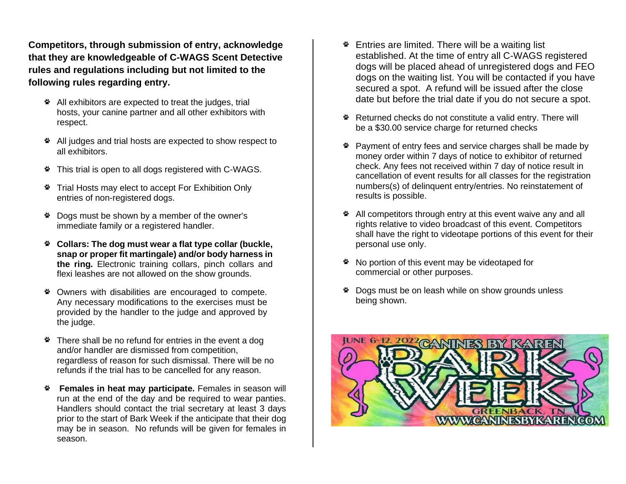**Competitors, through submission of entry, acknowledge that they are knowledgeable of C-WAGS Scent Detective rules and regulations including but not limited to the following rules regarding entry.**

- All exhibitors are expected to treat the judges, trial hosts, your canine partner and all other exhibitors with respect.
- All judges and trial hosts are expected to show respect to all exhibitors.
- \* This trial is open to all dogs registered with C-WAGS.
- Trial Hosts may elect to accept For Exhibition Only entries of non-registered dogs.
- Dogs must be shown by a member of the owner's immediate family or a registered handler.
- **Collars: The dog must wear a flat type collar (buckle, snap or proper fit martingale) and/or body harness in the ring.** Electronic training collars, pinch collars and flexi leashes are not allowed on the show grounds.
- \* Owners with disabilities are encouraged to compete. Any necessary modifications to the exercises must be provided by the handler to the judge and approved by the judge.
- \* There shall be no refund for entries in the event a dog and/or handler are dismissed from competition, regardless of reason for such dismissal. There will be no refunds if the trial has to be cancelled for any reason.
- **Females in heat may participate.** Females in season will run at the end of the day and be required to wear panties. Handlers should contact the trial secretary at least 3 days prior to the start of Bark Week if the anticipate that their dog may be in season. No refunds will be given for females in season.
- **Entries are limited. There will be a waiting list** established. At the time of entry all C-WAGS registered dogs will be placed ahead of unregistered dogs and FEO dogs on the waiting list. You will be contacted if you have secured a spot. A refund will be issued after the close date but before the trial date if you do not secure a spot.
- \* Returned checks do not constitute a valid entry. There will be a \$30.00 service charge for returned checks
- \* Payment of entry fees and service charges shall be made by money order within 7 days of notice to exhibitor of returned check. Any fees not received within 7 day of notice result in cancellation of event results for all classes for the registration numbers(s) of delinquent entry/entries. No reinstatement of results is possible.
- All competitors through entry at this event waive any and all rights relative to video broadcast of this event. Competitors shall have the right to videotape portions of this event for their personal use only.
- \* No portion of this event may be videotaped for commercial or other purposes.
- \* Dogs must be on leash while on show grounds unless being shown.

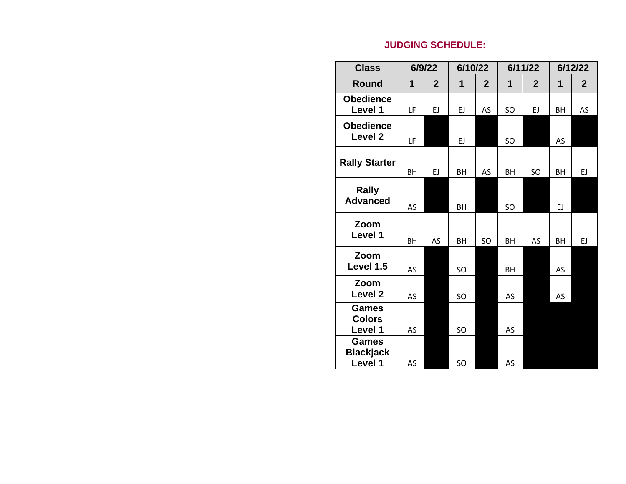### **JUDGING SCHEDULE:**

| <b>Class</b>                                |             | 6/9/22         | 6/10/22     |                |    | 6/11/22        |           | 6/12/22      |
|---------------------------------------------|-------------|----------------|-------------|----------------|----|----------------|-----------|--------------|
| <b>Round</b>                                | $\mathbf 1$ | $\overline{2}$ | $\mathbf 1$ | $\overline{2}$ | 1  | $\overline{2}$ | 1         | $\mathbf{2}$ |
| <b>Obedience</b><br>Level 1                 | LF          | EJ             | EJ.         | AS             | SO | EJ.            | <b>BH</b> | AS           |
| <b>Obedience</b><br>Level 2                 | LF          |                | EJ          |                | SO |                | <b>AS</b> |              |
| <b>Rally Starter</b>                        | BH          | EJ             | BH          | AS             | BH | SO             | BH        | EJ           |
| <b>Rally</b><br><b>Advanced</b>             | AS          |                | BH          |                | SO |                | EJ        |              |
| Zoom<br>Level 1                             | <b>BH</b>   | AS             | BH          | SO             | BH | AS             | BH        | EJ           |
| Zoom<br>Level 1.5                           | AS          |                | SO          |                | BH |                | AS        |              |
| Zoom<br>Level 2                             | AS          |                | SO          |                | AS |                | AS        |              |
| <b>Games</b><br><b>Colors</b><br>Level 1    | AS          |                | SO          |                | AS |                |           |              |
| <b>Games</b><br><b>Blackjack</b><br>Level 1 | AS          |                | SO          |                | AS |                |           |              |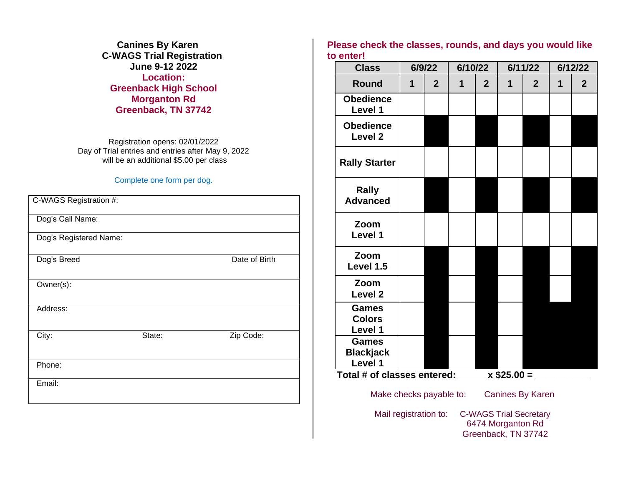**Canines By Karen C-WAGS Trial Registration June 9-12 2022 Location: Greenback High School Morganton Rd Greenback, TN 37742**

Registration opens: 02/01/2022 Day of Trial entries and entries after May 9, 2022 will be an additional \$5.00 per class

#### Complete one form per dog.

| C-WAGS Registration #: |        |               |
|------------------------|--------|---------------|
| Dog's Call Name:       |        |               |
| Dog's Registered Name: |        |               |
| Dog's Breed            |        | Date of Birth |
| Owner(s):              |        |               |
| Address:               |        |               |
| City:                  | State: | Zip Code:     |
| Phone:                 |        |               |
| Email:                 |        |               |

#### **Please check the classes, rounds, and days you would like to enter!**

| <b>Class</b>                                  | 6/9/22      |                |   | 6/10/22        |              | 6/11/22        |              | 6/12/22        |  |
|-----------------------------------------------|-------------|----------------|---|----------------|--------------|----------------|--------------|----------------|--|
| <b>Round</b>                                  | $\mathbf 1$ | $\overline{2}$ | 1 | $\overline{2}$ | $\mathbf{1}$ | $\overline{2}$ | $\mathbf{1}$ | $\overline{2}$ |  |
| <b>Obedience</b><br>Level 1                   |             |                |   |                |              |                |              |                |  |
| <b>Obedience</b><br><b>Level 2</b>            |             |                |   |                |              |                |              |                |  |
| <b>Rally Starter</b>                          |             |                |   |                |              |                |              |                |  |
| Rally<br><b>Advanced</b>                      |             |                |   |                |              |                |              |                |  |
| Zoom<br>Level 1                               |             |                |   |                |              |                |              |                |  |
| Zoom<br>Level 1.5                             |             |                |   |                |              |                |              |                |  |
| Zoom<br>Level <sub>2</sub>                    |             |                |   |                |              |                |              |                |  |
| <b>Games</b><br><b>Colors</b><br>Level 1      |             |                |   |                |              |                |              |                |  |
| <b>Games</b><br><b>Blackjack</b><br>Level 1   |             |                |   |                |              |                |              |                |  |
| Total # of classes entered: $x$ \$25.00 = $x$ |             |                |   |                |              |                |              |                |  |
| Make checks payable to:<br>Canines By Karen   |             |                |   |                |              |                |              |                |  |

Mail registration to: C-WAGS Trial Secretary 6474 Morganton Rd Greenback, TN 37742